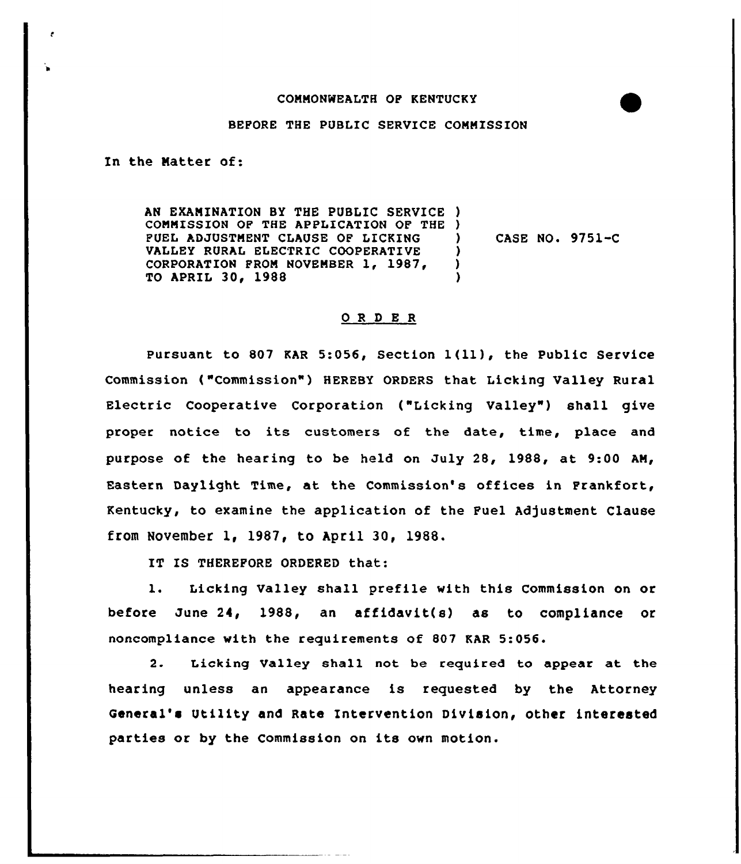## COMMONWEALTH OP KENTUCKY

## BEPORE THE PUBLIC SERVICE COMMISSION

In the Natter of:

AN EXAMINATION BY THE PUBLIC SERVICE ) COMMISSION OF THE APPLICATION QF THE ) FUEL ADJUSTMENT CLAUSE OF LICKING VALLEY RURAL ELECTRIC COOPERATIVE CORPORATION PROM NOVEMBER 1, 1987, TO APRIL 30, 1988 ) CASE NO. 9751-C ) ) )

## ORDER

pursuant to <sup>807</sup> KAR 5:056, Section 1(ll), the public Service Commission ("Commission"} HEREBY ORDERS that Licking Valley Rural Electric Cooperative Corporation ("Licking Valley") shall give proper notice to its customers of the date, time, place and purpose of the hearing to be held on July 28, 1988, at 9:00 AM/ Eastern Daylight Time, at the Commission's offices in Frankfort, Kentucky, to examine the application of the Fuel Adjustment Clause from November 1, 1987, to April 30, 1988.

IT IS THEREFORE ORDERED that:

1. Licking Valley shall prefile with this Commission on or before June 24, 1988, an affidavit(s) as to compliance or noncompliance with the requirements of 807 KAR 5:056.

2. Licking Valley shall not be required to appear at the hearing unless an appearance is requested by the Attorney General's Utility and Rate Intervention Division, other interested parties or by the Commission on its own motion.